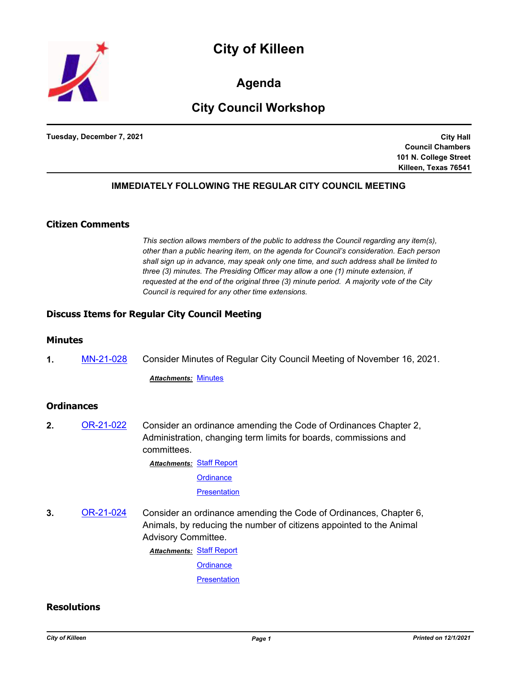



**Agenda**

# **City Council Workshop**

**Tuesday, December 7, 2021**

**City Hall Council Chambers 101 N. College Street Killeen, Texas 76541**

### **IMMEDIATELY FOLLOWING THE REGULAR CITY COUNCIL MEETING**

### **Citizen Comments**

*This section allows members of the public to address the Council regarding any item(s), other than a public hearing item, on the agenda for Council's consideration. Each person shall sign up in advance, may speak only one time, and such address shall be limited to three (3) minutes. The Presiding Officer may allow a one (1) minute extension, if requested at the end of the original three (3) minute period. A majority vote of the City Council is required for any other time extensions.*

#### **Discuss Items for Regular City Council Meeting**

#### **Minutes**

**1.** [MN-21-028](http://killeen.legistar.com/gateway.aspx?m=l&id=/matter.aspx?key=5822) Consider Minutes of Regular City Council Meeting of November 16, 2021.

*Attachments:* [Minutes](http://killeen.legistar.com/gateway.aspx?M=F&ID=25bd7bdf-8571-4ded-9401-83dea4a9a3c2.pdf)

#### **Ordinances**

**2.** [OR-21-022](http://killeen.legistar.com/gateway.aspx?m=l&id=/matter.aspx?key=5713) Consider an ordinance amending the Code of Ordinances Chapter 2, Administration, changing term limits for boards, commissions and committees.

> **Attachments: [Staff Report](http://killeen.legistar.com/gateway.aspx?M=F&ID=dbdf7590-c3d9-4bdb-b805-3ceb2c3078b9.pdf) [Ordinance](http://killeen.legistar.com/gateway.aspx?M=F&ID=bf87a04d-8750-4beb-835c-ac20fd835a68.pdf) [Presentation](http://killeen.legistar.com/gateway.aspx?M=F&ID=2191696c-d1b9-4b0d-a783-9a8b880510f7.pdf)**

**3.** [OR-21-024](http://killeen.legistar.com/gateway.aspx?m=l&id=/matter.aspx?key=5733) Consider an ordinance amending the Code of Ordinances, Chapter 6, Animals, by reducing the number of citizens appointed to the Animal Advisory Committee.

**Attachments: [Staff Report](http://killeen.legistar.com/gateway.aspx?M=F&ID=5e955c4e-0b94-42e3-9727-54a9b94b5210.pdf)** 

**[Ordinance](http://killeen.legistar.com/gateway.aspx?M=F&ID=e241a4e1-2e5d-48f5-b20f-53e1468b4b98.pdf)** 

**[Presentation](http://killeen.legistar.com/gateway.aspx?M=F&ID=6c6b1b69-fddb-4bd4-8f6a-132ac150cd81.pdf)** 

#### **Resolutions**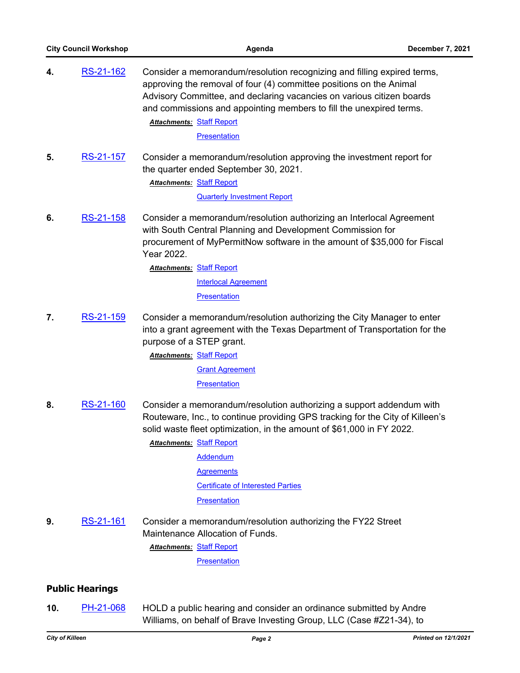| <b>City Council Workshop</b> |                        | Agenda                                                                                                                                                                                                                                                                                                                             | December 7, 2021 |
|------------------------------|------------------------|------------------------------------------------------------------------------------------------------------------------------------------------------------------------------------------------------------------------------------------------------------------------------------------------------------------------------------|------------------|
| 4.                           | RS-21-162              | Consider a memorandum/resolution recognizing and filling expired terms,<br>approving the removal of four (4) committee positions on the Animal<br>Advisory Committee, and declaring vacancies on various citizen boards<br>and commissions and appointing members to fill the unexpired terms.<br><b>Attachments: Staff Report</b> |                  |
|                              |                        | Presentation                                                                                                                                                                                                                                                                                                                       |                  |
| 5.                           | <u>RS-21-157</u>       | Consider a memorandum/resolution approving the investment report for<br>the quarter ended September 30, 2021.<br><b>Attachments: Staff Report</b>                                                                                                                                                                                  |                  |
|                              |                        | <b>Quarterly Investment Report</b>                                                                                                                                                                                                                                                                                                 |                  |
| 6.                           | RS-21-158              | Consider a memorandum/resolution authorizing an Interlocal Agreement<br>with South Central Planning and Development Commission for<br>procurement of MyPermitNow software in the amount of \$35,000 for Fiscal<br>Year 2022.                                                                                                       |                  |
|                              |                        | <b>Attachments: Staff Report</b>                                                                                                                                                                                                                                                                                                   |                  |
|                              |                        | <b>Interlocal Agreement</b>                                                                                                                                                                                                                                                                                                        |                  |
|                              |                        | <b>Presentation</b>                                                                                                                                                                                                                                                                                                                |                  |
| 7.                           | RS-21-159              | Consider a memorandum/resolution authorizing the City Manager to enter<br>into a grant agreement with the Texas Department of Transportation for the<br>purpose of a STEP grant.                                                                                                                                                   |                  |
|                              |                        | <b>Attachments: Staff Report</b>                                                                                                                                                                                                                                                                                                   |                  |
|                              |                        | <b>Grant Agreement</b>                                                                                                                                                                                                                                                                                                             |                  |
|                              |                        | <b>Presentation</b>                                                                                                                                                                                                                                                                                                                |                  |
| 8.                           | RS-21-160              | Consider a memorandum/resolution authorizing a support addendum with<br>Routeware, Inc., to continue providing GPS tracking for the City of Killeen's<br>solid waste fleet optimization, in the amount of \$61,000 in FY 2022.<br><b>Attachments: Staff Report</b>                                                                 |                  |
|                              |                        | <b>Addendum</b>                                                                                                                                                                                                                                                                                                                    |                  |
|                              |                        | <b>Agreements</b>                                                                                                                                                                                                                                                                                                                  |                  |
|                              |                        | <b>Certificate of Interested Parties</b>                                                                                                                                                                                                                                                                                           |                  |
|                              |                        | <b>Presentation</b>                                                                                                                                                                                                                                                                                                                |                  |
| 9.                           | RS-21-161              | Consider a memorandum/resolution authorizing the FY22 Street<br>Maintenance Allocation of Funds.                                                                                                                                                                                                                                   |                  |
|                              |                        | <b>Attachments: Staff Report</b><br>Presentation                                                                                                                                                                                                                                                                                   |                  |
|                              |                        |                                                                                                                                                                                                                                                                                                                                    |                  |
|                              | <b>Public Hearings</b> |                                                                                                                                                                                                                                                                                                                                    |                  |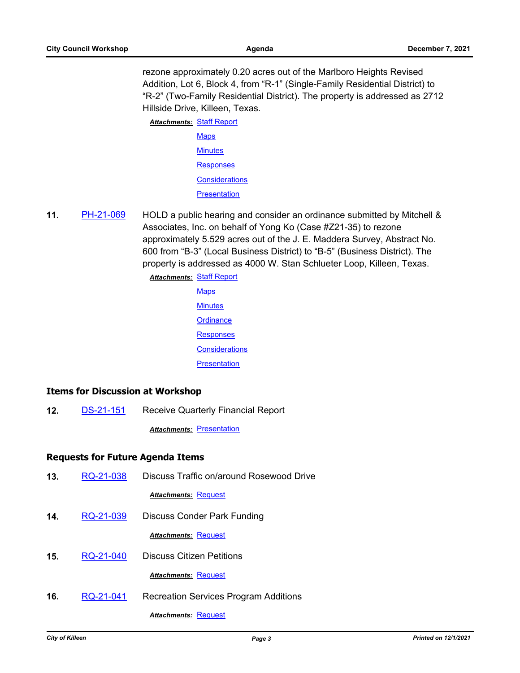rezone approximately 0.20 acres out of the Marlboro Heights Revised Addition, Lot 6, Block 4, from "R-1" (Single-Family Residential District) to "R-2" (Two-Family Residential District). The property is addressed as 2712 Hillside Drive, Killeen, Texas.

**Attachments: [Staff Report](http://killeen.legistar.com/gateway.aspx?M=F&ID=41aec295-14a7-4dd8-b21c-7992e53fe340.pdf) [Maps](http://killeen.legistar.com/gateway.aspx?M=F&ID=320b7fbf-8331-46ef-9d32-9b638ba19b3b.pdf) [Minutes](http://killeen.legistar.com/gateway.aspx?M=F&ID=67aef91a-7634-4466-bb50-a6e6512bbfef.pdf)** [Responses](http://killeen.legistar.com/gateway.aspx?M=F&ID=f800d820-8186-427e-b455-43094a624733.pdf) **[Considerations](http://killeen.legistar.com/gateway.aspx?M=F&ID=91c32cdb-56e9-4db2-abce-92a5d7cf1442.pdf) [Presentation](http://killeen.legistar.com/gateway.aspx?M=F&ID=7abcda91-4aa8-418c-9c3c-f5fd1a10e06c.pdf)** 

**11.** [PH-21-069](http://killeen.legistar.com/gateway.aspx?m=l&id=/matter.aspx?key=5813) HOLD a public hearing and consider an ordinance submitted by Mitchell & Associates, Inc. on behalf of Yong Ko (Case #Z21-35) to rezone approximately 5.529 acres out of the J. E. Maddera Survey, Abstract No. 600 from "B-3" (Local Business District) to "B-5" (Business District). The property is addressed as 4000 W. Stan Schlueter Loop, Killeen, Texas.

> **Attachments: [Staff Report](http://killeen.legistar.com/gateway.aspx?M=F&ID=9a63eaa5-7909-466c-b0c2-a338d89f2e29.pdf) [Maps](http://killeen.legistar.com/gateway.aspx?M=F&ID=ac8414a1-4152-4451-8863-2d3e4c4d2b4b.pdf) [Minutes](http://killeen.legistar.com/gateway.aspx?M=F&ID=7689b999-cddb-4520-9ee2-ade3f5dd4fe5.pdf) [Ordinance](http://killeen.legistar.com/gateway.aspx?M=F&ID=7da8b489-7684-4e1c-9494-db55f1535ba9.pdf) [Responses](http://killeen.legistar.com/gateway.aspx?M=F&ID=74a03c7e-e3b5-42a4-a9a6-a0ce05fa8b90.pdf) [Considerations](http://killeen.legistar.com/gateway.aspx?M=F&ID=266842df-279d-4838-903f-01755fc7c9af.pdf) [Presentation](http://killeen.legistar.com/gateway.aspx?M=F&ID=e510f511-5020-4e0d-82f4-6477bc4ca962.pdf)**

# **Items for Discussion at Workshop**

**12.** [DS-21-151](http://killeen.legistar.com/gateway.aspx?m=l&id=/matter.aspx?key=5820) Receive Quarterly Financial Report

**Attachments: [Presentation](http://killeen.legistar.com/gateway.aspx?M=F&ID=cf1f82c6-1c53-4580-894b-41254315419b.pdf)** 

# **Requests for Future Agenda Items**

- **13.** [RQ-21-038](http://killeen.legistar.com/gateway.aspx?m=l&id=/matter.aspx?key=5830) Discuss Traffic on/around Rosewood Drive *Attachments:* [Request](http://killeen.legistar.com/gateway.aspx?M=F&ID=fe69b01f-9a27-4f76-ae6a-149038c584be.pdf)
- **14.** [RQ-21-039](http://killeen.legistar.com/gateway.aspx?m=l&id=/matter.aspx?key=5831) Discuss Conder Park Funding

*Attachments:* [Request](http://killeen.legistar.com/gateway.aspx?M=F&ID=c1794ee7-3e02-4fdc-8200-a1228eecf4eb.pdf)

**15.** [RQ-21-040](http://killeen.legistar.com/gateway.aspx?m=l&id=/matter.aspx?key=5839) Discuss Citizen Petitions

*Attachments:* [Request](http://killeen.legistar.com/gateway.aspx?M=F&ID=400bc082-c42f-44cd-86fb-1c9f2acf965b.pdf)

**16.** [RQ-21-041](http://killeen.legistar.com/gateway.aspx?m=l&id=/matter.aspx?key=5840) Recreation Services Program Additions *Attachments:* [Request](http://killeen.legistar.com/gateway.aspx?M=F&ID=0ccdc71a-9a70-405b-a2af-0328e79b1cb8.pdf)